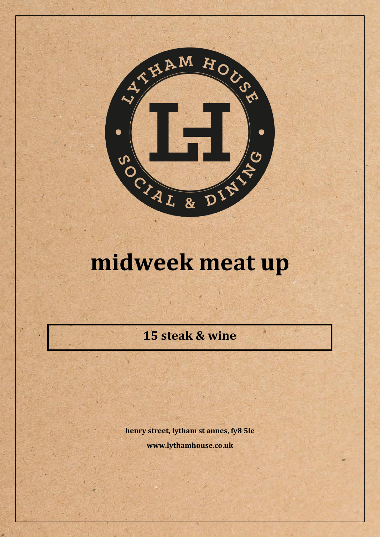

## midweek meat up

15 steak & wine

henry street, lytham st annes, fy8 5le www.lythamhouse.co.uk